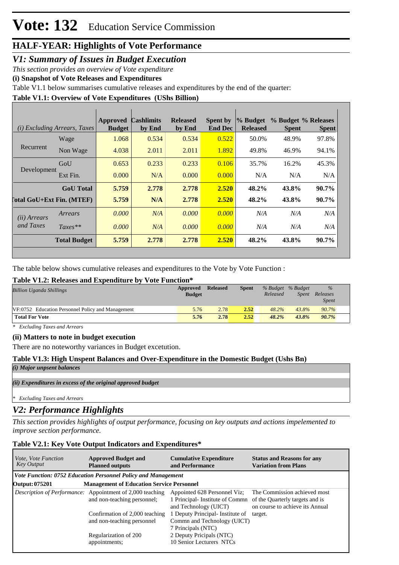### **HALF-YEAR: Highlights of Vote Performance**

### *V1: Summary of Issues in Budget Execution*

*This section provides an overview of Vote expenditure* 

**(i) Snapshot of Vote Releases and Expenditures**

Table V1.1 below summarises cumulative releases and expenditures by the end of the quarter:

### **Table V1.1: Overview of Vote Expenditures (UShs Billion)**

|                            | (i) Excluding Arrears, Taxes | <b>Approved</b><br><b>Budget</b> | <b>Cashlimits</b><br>by End | <b>Released</b><br>by End | Spent by<br><b>End Dec</b> | % Budget<br><b>Released</b> | <b>Spent</b> | % Budget % Releases<br><b>Spent</b> |
|----------------------------|------------------------------|----------------------------------|-----------------------------|---------------------------|----------------------------|-----------------------------|--------------|-------------------------------------|
| Recurrent                  | Wage                         | 1.068                            | 0.534                       | 0.534                     | 0.522                      | 50.0%                       | 48.9%        | 97.8%                               |
|                            | Non Wage                     | 4.038                            | 2.011                       | 2.011                     | 1.892                      | 49.8%                       | 46.9%        | 94.1%                               |
| Development                | GoU                          | 0.653                            | 0.233                       | 0.233                     | 0.106                      | 35.7%                       | 16.2%        | 45.3%                               |
|                            | Ext Fin.                     | 0.000                            | N/A                         | 0.000                     | 0.000                      | N/A                         | N/A          | N/A                                 |
|                            | <b>GoU</b> Total             | 5.759                            | 2.778                       | 2.778                     | 2.520                      | 48.2%                       | 43.8%        | 90.7%                               |
| [`otal GoU+Ext Fin. (MTEF) |                              | 5.759                            | N/A                         | 2.778                     | 2.520                      | 48.2%                       | 43.8%        | 90.7%                               |
| (ii) Arrears               | Arrears                      | 0.000                            | N/A                         | 0.000                     | 0.000                      | N/A                         | N/A          | N/A                                 |
| and Taxes                  | $Taxes**$                    | 0.000                            | N/A                         | 0.000                     | 0.000                      | N/A                         | N/A          | N/A                                 |
|                            | <b>Total Budget</b>          | 5.759                            | 2.778                       | 2.778                     | 2.520                      | 48.2%                       | 43.8%        | 90.7%                               |

The table below shows cumulative releases and expenditures to the Vote by Vote Function :

### **Table V1.2: Releases and Expenditure by Vote Function\***

| <b>Billion Uganda Shillings</b>                   | Approved<br><b>Budget</b> | <b>Released</b> | <b>Spent</b> | % Budget % Budget<br>Released | <b>Spent</b> | $\%$<br>Releases<br><b>Spent</b> |
|---------------------------------------------------|---------------------------|-----------------|--------------|-------------------------------|--------------|----------------------------------|
| VF:0752 Education Personnel Policy and Management | 5.76                      | 2.78            | 2.52         | 48.2%                         | 43.8%        | 90.7%                            |
| <b>Total For Vote</b>                             | 5.76                      | 2.78            | 2.52         | 48.2%                         | 43.8%        | 90.7%                            |

*\* Excluding Taxes and Arrears*

### **(ii) Matters to note in budget execution**

There are no noteworthy variances in Budget excetution.

### **Table V1.3: High Unspent Balances and Over-Expenditure in the Domestic Budget (Ushs Bn)**

*(i) Major unpsent balances*

#### *(ii) Expenditures in excess of the original approved budget*

*\* Excluding Taxes and Arrears*

### *V2: Performance Highlights*

*This section provides highlights of output performance, focusing on key outputs and actions impelemented to improve section performance.*

### **Table V2.1: Key Vote Output Indicators and Expenditures\***

| <i>Vote, Vote Function</i><br><b>Key Output</b> | <b>Approved Budget and</b><br><b>Cumulative Expenditure</b><br><b>Planned outputs</b><br>and Performance |                                                                                         | <b>Status and Reasons for any</b><br><b>Variation from Plans</b>                                   |
|-------------------------------------------------|----------------------------------------------------------------------------------------------------------|-----------------------------------------------------------------------------------------|----------------------------------------------------------------------------------------------------|
|                                                 | Vote Function: 0752 Education Personnel Policy and Management                                            |                                                                                         |                                                                                                    |
| <b>Output: 075201</b>                           | <b>Management of Education Service Personnel</b>                                                         |                                                                                         |                                                                                                    |
|                                                 | <i>Description of Performance:</i> Appointment of 2,000 teaching<br>and non-teaching personnel;          | Appointed 628 Personnel Viz;<br>1 Principal-Institute of Commn<br>and Technology (UICT) | The Commission achieved most<br>of the Quarterly targets and is<br>on course to achieve its Annual |
|                                                 | Confirmation of 2,000 teaching<br>and non-teaching personnel                                             | 1 Deputy Principal- Institute of<br>Commn and Technology (UICT)<br>7 Principals (NTC)   | target.                                                                                            |
|                                                 | Regularization of 200<br>appointments;                                                                   | 2 Deputy Pricipals (NTC)<br>10 Senior Lecturers NTCs                                    |                                                                                                    |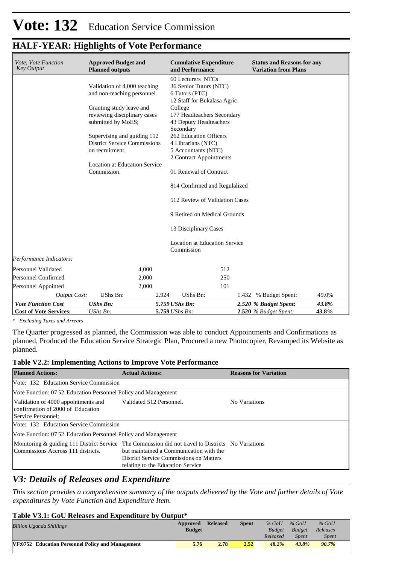### **HALF-YEAR: Highlights of Vote Performance**

| Vote, Vote Function<br><b>Key Output</b> | <b>Approved Budget and</b><br><b>Planned outputs</b> |                | <b>Cumulative Expenditure</b><br>and Performance   | <b>Status and Reasons for any</b><br><b>Variation from Plans</b> |       |
|------------------------------------------|------------------------------------------------------|----------------|----------------------------------------------------|------------------------------------------------------------------|-------|
|                                          | Validation of 4,000 teaching                         |                | 60 Lecturers NTCs<br>36 Senior Tutors (NTC)        |                                                                  |       |
|                                          | and non-teaching personnel                           |                | 6 Tutors (PTC)                                     |                                                                  |       |
|                                          | Granting study leave and                             |                | 12 Staff for Bukalasa Agric<br>College             |                                                                  |       |
|                                          | reviewing disciplinary cases                         |                | 177 Headteachers Secondary                         |                                                                  |       |
|                                          | submitted by MoES;                                   |                | 43 Deputy Headteachers<br>Secondary                |                                                                  |       |
|                                          | Supervising and guiding 112                          |                | 262 Education Officers                             |                                                                  |       |
|                                          | <b>District Service Commissions</b>                  |                | 4 Librarians (NTC)                                 |                                                                  |       |
|                                          | on recruitment.                                      |                | 5 Accountants (NTC)<br>2 Contract Appointments     |                                                                  |       |
|                                          | <b>Location at Education Service</b>                 |                |                                                    |                                                                  |       |
|                                          | Commission.                                          |                | 01 Renewal of Contract                             |                                                                  |       |
|                                          |                                                      |                | 814 Confirmed and Regulalized                      |                                                                  |       |
|                                          |                                                      |                | 512 Review of Validation Cases                     |                                                                  |       |
|                                          |                                                      |                | 9 Retired on Medical Grounds                       |                                                                  |       |
|                                          |                                                      |                | 13 Disciplinary Cases                              |                                                                  |       |
|                                          |                                                      |                | <b>Location at Education Service</b><br>Commission |                                                                  |       |
| Performance Indicators:                  |                                                      |                |                                                    |                                                                  |       |
| Personnel Validated                      | 4,000                                                |                | 512                                                |                                                                  |       |
| Personnel Confirmed                      | 2,000                                                |                | 250                                                |                                                                  |       |
| Personnel Appointed                      | 2,000                                                |                | 101                                                |                                                                  |       |
| <b>Output Cost:</b>                      | UShs Bn:                                             | 2.924          | UShs Bn:                                           | 1.432 % Budget Spent:                                            | 49.0% |
| <b>Vote Function Cost</b>                | <b>UShs Bn:</b>                                      | 5.759 UShs Bn: |                                                    | 2.520 % Budget Spent:                                            | 43.8% |
| <b>Cost of Vote Services:</b>            | UShs Bn:                                             | 5.759 UShs Bn: |                                                    | $2.520$ % Budget Spent:                                          | 43.8% |

*\* Excluding Taxes and Arrears*

The Quarter progressed as planned, the Commission was able to conduct Appointments and Confirmations as planned, Produced the Education Service Strategic Plan, Procured a new Photocopier, Revamped its Website as planned.

### **Table V2.2: Implementing Actions to Improve Vote Performance**

| <b>Planned Actions:</b>                                                                        | <b>Actual Actions:</b>                                                                                                                                                                                                        | <b>Reasons for Variation</b> |  |  |  |  |  |
|------------------------------------------------------------------------------------------------|-------------------------------------------------------------------------------------------------------------------------------------------------------------------------------------------------------------------------------|------------------------------|--|--|--|--|--|
| Vote: 132 Education Service Commission                                                         |                                                                                                                                                                                                                               |                              |  |  |  |  |  |
| Vote Function: 07 52 Education Personnel Policy and Management                                 |                                                                                                                                                                                                                               |                              |  |  |  |  |  |
| Validation of 4000 appointments and<br>confirmation of 2000 of Education<br>Service Personnel: | Validated 512 Personnel.                                                                                                                                                                                                      | No Variations                |  |  |  |  |  |
| Vote: 132 Education Service Commission                                                         |                                                                                                                                                                                                                               |                              |  |  |  |  |  |
| Vote Function: 07 52 Education Personnel Policy and Management                                 |                                                                                                                                                                                                                               |                              |  |  |  |  |  |
| Commissions Accross 111 districts.                                                             | Monitoring & guiding 111 District Service The Commission did not travel to Districts No Variations<br>but maintained a Communication with the<br>District Service Commissions on Matters<br>relating to the Education Service |                              |  |  |  |  |  |

### *V3: Details of Releases and Expenditure*

*This section provides a comprehensive summary of the outputs delivered by the Vote and further details of Vote expenditures by Vote Function and Expenditure Item.*

### **Table V3.1: GoU Releases and Expenditure by Output\***

| -------                                           |               |          |              |               |               |          |  |
|---------------------------------------------------|---------------|----------|--------------|---------------|---------------|----------|--|
| <b>Billion Uganda Shillings</b>                   | Approved      | Released | <b>Spent</b> | $%$ GoU       | $%$ GoU       | $%$ GoU  |  |
|                                                   | <b>Budget</b> |          |              | <b>Budget</b> | <b>Budget</b> | Releases |  |
|                                                   |               |          |              | Released      | Spent         | Spent    |  |
| VF:0752 Education Personnel Policy and Management | 5.76          | 2.78     | 2.52         | 48.2%         | 43.8%         | 90.7%    |  |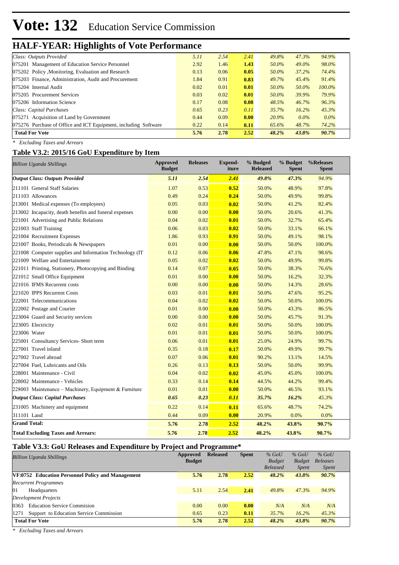## **HALF-YEAR: Highlights of Vote Performance**

| Class: Outputs Provided                                         | 5.11 | 2.54 | 2.41 | 49.8% | 47.3%    | 94.9%     |  |
|-----------------------------------------------------------------|------|------|------|-------|----------|-----------|--|
| 075201 Management of Education Service Personnel                | 2.92 | 1.46 | 1.43 | 50.0% | 49.0%    | 98.0%     |  |
| 075202 Policy, Monitoring, Evaluation and Research              | 0.13 | 0.06 | 0.05 | 50.0% | 37.2%    | 74.4%     |  |
| 075203 Finance, Administration, Audit and Procurement           | 1.84 | 0.91 | 0.83 | 49.7% | 45.4%    | 91.4%     |  |
| 075204 Internal Audit                                           | 0.02 | 0.01 | 0.01 | 50.0% | 50.0%    | $100.0\%$ |  |
| 075205 Procurement Services                                     | 0.03 | 0.02 | 0.01 | 50.0% | 39.9%    | 79.9%     |  |
| 075206 Information Science                                      | 0.17 | 0.08 | 0.08 | 48.5% | 46.7%    | 96.3%     |  |
| Class: Capital Purchases                                        | 0.65 | 0.23 | 0.11 | 35.7% | $16.2\%$ | 45.3%     |  |
| 075271 Acquisition of Land by Government                        | 0.44 | 0.09 | 0.00 | 20.9% | $0.0\%$  | $0.0\%$   |  |
| 075276 Purchase of Office and ICT Equipment, including Software | 0.22 | 0.14 | 0.11 | 65.6% | 48.7%    | 74.2%     |  |
| <b>Total For Vote</b>                                           | 5.76 | 2.78 | 2.52 | 48.2% | 43.8%    | 90.7%     |  |
|                                                                 |      |      |      |       |          |           |  |

*\* Excluding Taxes and Arrears*

#### **Table V3.2: 2015/16 GoU Expenditure by Item**

| <b>Billion Uganda Shillings</b>                          | <b>Approved</b><br><b>Budget</b> | <b>Releases</b> | <b>Expend-</b><br>iture | % Budged<br><b>Released</b> | % Budget<br><b>Spent</b> | %Releases<br><b>Spent</b> |
|----------------------------------------------------------|----------------------------------|-----------------|-------------------------|-----------------------------|--------------------------|---------------------------|
| <b>Output Class: Outputs Provided</b>                    | 5.11                             | 2.54            | 2.41                    | 49.8%                       | 47.3%                    | 94.9%                     |
| 211101 General Staff Salaries                            | 1.07                             | 0.53            | 0.52                    | 50.0%                       | 48.9%                    | 97.8%                     |
| 211103 Allowances                                        | 0.49                             | 0.24            | 0.24                    | 50.0%                       | 49.9%                    | 99.8%                     |
| 213001 Medical expenses (To employees)                   | 0.05                             | 0.03            | 0.02                    | 50.0%                       | 41.2%                    | 82.4%                     |
| 213002 Incapacity, death benefits and funeral expenses   | 0.00                             | 0.00            | 0.00                    | 50.0%                       | 20.6%                    | 41.3%                     |
| 221001 Advertising and Public Relations                  | 0.04                             | 0.02            | 0.01                    | 50.0%                       | 32.7%                    | 65.4%                     |
| 221003 Staff Training                                    | 0.06                             | 0.03            | 0.02                    | 50.0%                       | 33.1%                    | 66.1%                     |
| 221004 Recruitment Expenses                              | 1.86                             | 0.93            | 0.91                    | 50.0%                       | 49.1%                    | 98.1%                     |
| 221007 Books, Periodicals & Newspapers                   | 0.01                             | 0.00            | 0.00                    | 50.0%                       | 50.0%                    | 100.0%                    |
| 221008 Computer supplies and Information Technology (IT) | 0.12                             | 0.06            | 0.06                    | 47.8%                       | 47.1%                    | 98.6%                     |
| 221009 Welfare and Entertainment                         | 0.05                             | 0.02            | 0.02                    | 50.0%                       | 49.9%                    | 99.8%                     |
| 221011 Printing, Stationery, Photocopying and Binding    | 0.14                             | 0.07            | 0.05                    | 50.0%                       | 38.3%                    | 76.6%                     |
| 221012 Small Office Equipment                            | 0.01                             | 0.00            | 0.00                    | 50.0%                       | 16.2%                    | 32.3%                     |
| 221016 IFMS Recurrent costs                              | 0.00                             | 0.00            | 0.00                    | 50.0%                       | 14.3%                    | 28.6%                     |
| 221020 IPPS Recurrent Costs                              | 0.03                             | 0.01            | 0.01                    | 50.0%                       | 47.6%                    | 95.2%                     |
| 222001 Telecommunications                                | 0.04                             | 0.02            | 0.02                    | 50.0%                       | 50.0%                    | 100.0%                    |
| 222002 Postage and Courier                               | 0.01                             | 0.00            | 0.00                    | 50.0%                       | 43.3%                    | 86.5%                     |
| 223004 Guard and Security services                       | 0.00                             | 0.00            | 0.00                    | 50.0%                       | 45.7%                    | 91.3%                     |
| 223005 Electricity                                       | 0.02                             | 0.01            | 0.01                    | 50.0%                       | 50.0%                    | 100.0%                    |
| 223006 Water                                             | 0.01                             | 0.01            | 0.01                    | 50.0%                       | 50.0%                    | 100.0%                    |
| 225001 Consultancy Services- Short term                  | 0.06                             | 0.01            | 0.01                    | 25.0%                       | 24.9%                    | 99.7%                     |
| 227001 Travel inland                                     | 0.35                             | 0.18            | 0.17                    | 50.0%                       | 49.9%                    | 99.7%                     |
| 227002 Travel abroad                                     | 0.07                             | 0.06            | 0.01                    | 90.2%                       | 13.1%                    | 14.5%                     |
| 227004 Fuel, Lubricants and Oils                         | 0.26                             | 0.13            | 0.13                    | 50.0%                       | 50.0%                    | 99.9%                     |
| 228001 Maintenance - Civil                               | 0.04                             | 0.02            | 0.02                    | 45.0%                       | 45.0%                    | 100.0%                    |
| 228002 Maintenance - Vehicles                            | 0.33                             | 0.14            | 0.14                    | 44.5%                       | 44.2%                    | 99.4%                     |
| 228003 Maintenance - Machinery, Equipment & Furniture    | 0.01                             | 0.01            | 0.00                    | 50.0%                       | 46.5%                    | 93.1%                     |
| <b>Output Class: Capital Purchases</b>                   | 0.65                             | 0.23            | 0.11                    | 35.7%                       | 16.2%                    | 45.3%                     |
| 231005 Machinery and equipment                           | 0.22                             | 0.14            | 0.11                    | 65.6%                       | 48.7%                    | 74.2%                     |
| 311101 Land                                              | 0.44                             | 0.09            | 0.00                    | 20.9%                       | 0.0%                     | 0.0%                      |
| <b>Grand Total:</b>                                      | 5.76                             | 2.78            | 2.52                    | 48.2%                       | 43.8%                    | 90.7%                     |
| <b>Total Excluding Taxes and Arrears:</b>                | 5.76                             | 2.78            | 2.52                    | 48.2%                       | 43.8%                    | 90.7%                     |

### **Table V3.3: GoU Releases and Expenditure by Project and Programme\***

| Approved<br><b>Billion Uganda Shillings</b>       |               | <b>Released</b> | <b>Spent</b> | $%$ GoU       | $%$ GoU       | $%$ GoU      |  |
|---------------------------------------------------|---------------|-----------------|--------------|---------------|---------------|--------------|--|
|                                                   | <b>Budget</b> |                 |              | <b>Budget</b> | <b>Budget</b> | Releases     |  |
|                                                   |               |                 |              | Released      | <i>Spent</i>  | <i>Spent</i> |  |
| VF:0752 Education Personnel Policy and Management | 5.76          | 2.78            | 2.52         | 48.2%         | 43.8%         | 90.7%        |  |
| <b>Recurrent Programmes</b>                       |               |                 |              |               |               |              |  |
| 01<br>Headquarters                                | 5.11          | 2.54            | 2.41         | 49.8%         | 47.3%         | 94.9%        |  |
| Development Projects                              |               |                 |              |               |               |              |  |
| <b>Education Service Commision</b><br>0363        | 0.00          | 0.00            | 0.00         | N/A           | N/A           | N/A          |  |
| Support to Education Service Commission<br>1271   | 0.65          | 0.23            | 0.11         | 35.7%         | 16.2%         | 45.3%        |  |
| <b>Total For Vote</b>                             | 5.76          | 2.78            | 2.52         | 48.2%         | 43.8%         | 90.7%        |  |

*\* Excluding Taxes and Arrears*